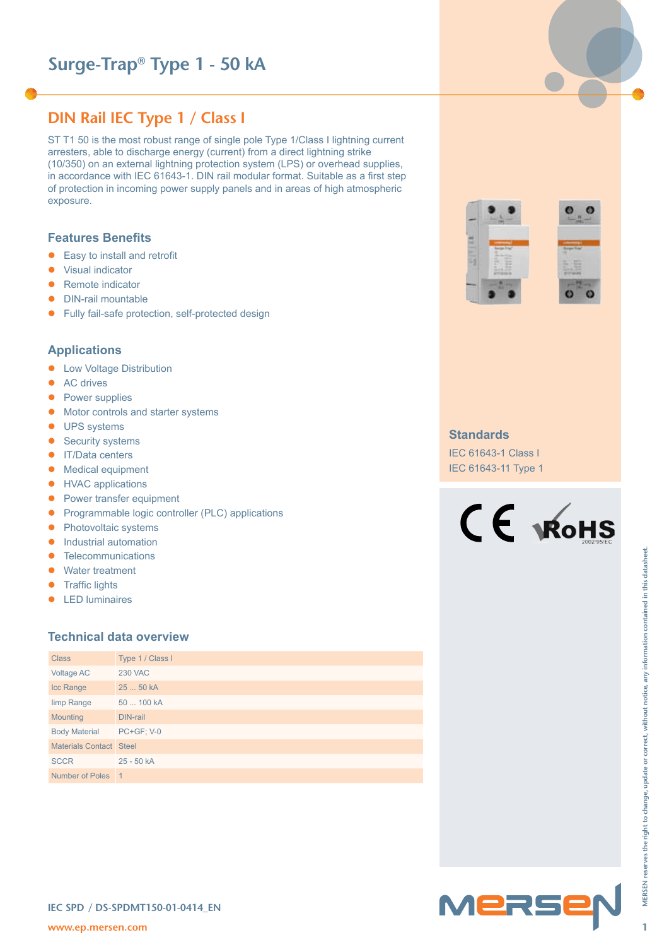# **Surge-Trap® Type 1 - 50 kA**

# **DIN Rail IEC Type 1 / Class I**

ST T1 50 is the most robust range of single pole Type 1/Class I lightning current arresters, able to discharge energy (current) from a direct lightning strike (10/350) on an external lightning protection system (LPS) or overhead supplies, in accordance with IEC 61643-1. DIN rail modular format. Suitable as a first step of protection in incoming power supply panels and in areas of high atmospheric exposure.

#### **Features Benefits**

- $\bullet$  Easy to install and retrofit
- Visual indicator
- Remote indicator
- DIN-rail mountable
- **•** Fully fail-safe protection, self-protected design

### **Applications**

- Low Voltage Distribution
- $\bullet$  AC drives
- Power supplies
- $\bullet$  Motor controls and starter systems
- **•** UPS systems
- $\bullet$  Security systems
- IT/Data centers
- Medical equipment
- **•** HVAC applications
- $\bullet$  Power transfer equipment
- Programmable logic controller (PLC) applications
- Photovoltaic systems
- $\bullet$  Industrial automation
- Telecommunications
- Water treatment
- $\bullet$  Traffic lights
- $\bullet$  LED luminaires

## **Technical data overview**

| Telecommunications<br>$\bullet$<br>Water treatment<br>$\bullet$<br><b>Traffic lights</b><br>$\bullet$<br><b>LED</b> luminaires<br>$\bullet$ | <b>Technical data overview</b>   |        | MERSEN reserves the right to change, update or correct, without notice, any information contained in this datasheet |
|---------------------------------------------------------------------------------------------------------------------------------------------|----------------------------------|--------|---------------------------------------------------------------------------------------------------------------------|
| <b>Class</b>                                                                                                                                | Type 1 / Class I                 |        |                                                                                                                     |
| <b>Voltage AC</b>                                                                                                                           | <b>230 VAC</b>                   |        |                                                                                                                     |
| Icc Range                                                                                                                                   | 25  50 kA                        |        |                                                                                                                     |
| limp Range                                                                                                                                  | 50  100 kA                       |        |                                                                                                                     |
| Mounting                                                                                                                                    | <b>DIN-rail</b>                  |        |                                                                                                                     |
| <b>Body Material</b>                                                                                                                        | <b>PC+GF; V-0</b>                |        |                                                                                                                     |
| Materials Contact Steel                                                                                                                     |                                  |        |                                                                                                                     |
| <b>SCCR</b>                                                                                                                                 | 25 - 50 kA                       |        |                                                                                                                     |
| Number of Poles 1                                                                                                                           |                                  |        |                                                                                                                     |
|                                                                                                                                             |                                  |        |                                                                                                                     |
| www.ep.mersen.com                                                                                                                           | IEC SPD / DS-SPDMT150-01-0414_EN | MERSEN | 1                                                                                                                   |





#### **Standards**

IEC 61643-1 Class I IEC 61643-11 Type 1





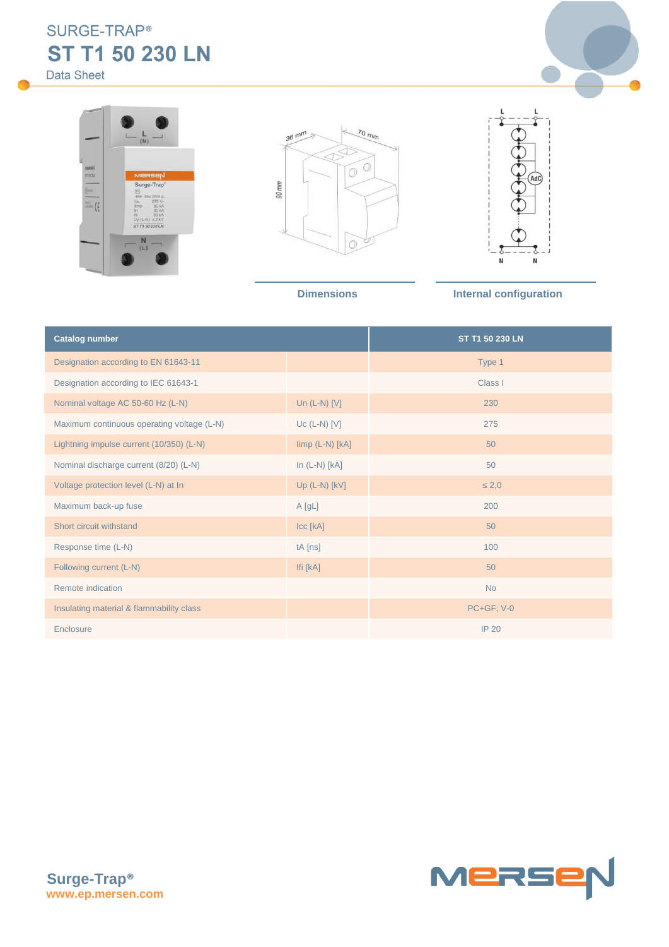SURGE-TRAP® **ST T1 50 230 LN**

Data Sheet









**Dimensions Internal configuration** 

| <b>Catalog number</b>                      | ST T1 50 230 LN       |                   |
|--------------------------------------------|-----------------------|-------------------|
| Designation according to EN 61643-11       |                       | Type 1            |
| Designation according to IEC 61643-1       |                       | Class I           |
| Nominal voltage AC 50-60 Hz (L-N)          | Un $(L-N)$ [V]        | 230               |
| Maximum continuous operating voltage (L-N) | $Uc$ (L-N) [V]        | 275               |
| Lightning impulse current (10/350) (L-N)   | $\lim p$ (L-N) $[kA]$ | 50                |
| Nominal discharge current (8/20) (L-N)     | In $(L-N)$ [ $kA$ ]   | 50                |
| Voltage protection level (L-N) at In       | Up $(L-N)$ $[kV]$     | 2,0               |
| Maximum back-up fuse                       | A[gL]                 | 200               |
| Short circuit withstand                    | Icc [kA]              | 50                |
| Response time (L-N)                        | $tA$ [ns]             | 100               |
| Following current (L-N)                    | Ifi [kA]              | 50                |
| Remote indication                          |                       | <b>No</b>         |
| Insulating material & flammability class   |                       | <b>PC+GF; V-0</b> |
| Enclosure                                  |                       | <b>IP 20</b>      |